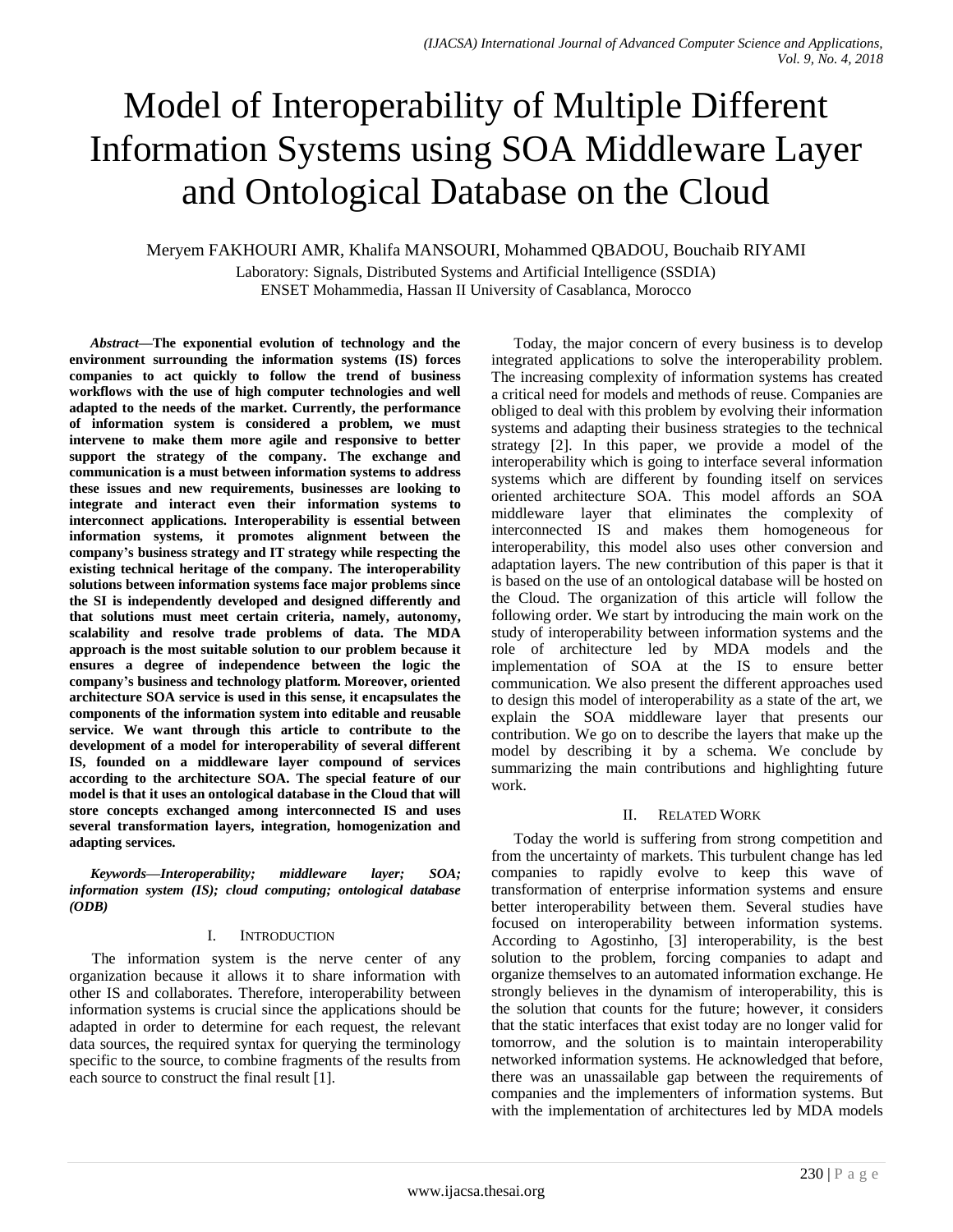# Model of Interoperability of Multiple Different Information Systems using SOA Middleware Layer and Ontological Database on the Cloud

# Meryem FAKHOURI AMR, Khalifa MANSOURI, Mohammed QBADOU, Bouchaib RIYAMI

Laboratory: Signals, Distributed Systems and Artificial Intelligence (SSDIA) ENSET Mohammedia, Hassan II University of Casablanca, Morocco

*Abstract***—The exponential evolution of technology and the environment surrounding the information systems (IS) forces companies to act quickly to follow the trend of business workflows with the use of high computer technologies and well adapted to the needs of the market. Currently, the performance of information system is considered a problem, we must intervene to make them more agile and responsive to better support the strategy of the company. The exchange and communication is a must between information systems to address these issues and new requirements, businesses are looking to integrate and interact even their information systems to interconnect applications. Interoperability is essential between information systems, it promotes alignment between the company's business strategy and IT strategy while respecting the existing technical heritage of the company. The interoperability solutions between information systems face major problems since the SI is independently developed and designed differently and that solutions must meet certain criteria, namely, autonomy, scalability and resolve trade problems of data. The MDA approach is the most suitable solution to our problem because it ensures a degree of independence between the logic the company's business and technology platform. Moreover, oriented architecture SOA service is used in this sense, it encapsulates the components of the information system into editable and reusable service. We want through this article to contribute to the development of a model for interoperability of several different IS, founded on a middleware layer compound of services according to the architecture SOA. The special feature of our model is that it uses an ontological database in the Cloud that will store concepts exchanged among interconnected IS and uses several transformation layers, integration, homogenization and adapting services.**

*Keywords—Interoperability; middleware layer; SOA; information system (IS); cloud computing; ontological database (ODB)*

#### I. INTRODUCTION

The information system is the nerve center of any organization because it allows it to share information with other IS and collaborates. Therefore, interoperability between information systems is crucial since the applications should be adapted in order to determine for each request, the relevant data sources, the required syntax for querying the terminology specific to the source, to combine fragments of the results from each source to construct the final result [1].

Today, the major concern of every business is to develop integrated applications to solve the interoperability problem. The increasing complexity of information systems has created a critical need for models and methods of reuse. Companies are obliged to deal with this problem by evolving their information systems and adapting their business strategies to the technical strategy [2]. In this paper, we provide a model of the interoperability which is going to interface several information systems which are different by founding itself on services oriented architecture SOA. This model affords an SOA middleware layer that eliminates the complexity of interconnected IS and makes them homogeneous for interoperability, this model also uses other conversion and adaptation layers. The new contribution of this paper is that it is based on the use of an ontological database will be hosted on the Cloud. The organization of this article will follow the following order. We start by introducing the main work on the study of interoperability between information systems and the role of architecture led by MDA models and the implementation of SOA at the IS to ensure better communication. We also present the different approaches used to design this model of interoperability as a state of the art, we explain the SOA middleware layer that presents our contribution. We go on to describe the layers that make up the model by describing it by a schema. We conclude by summarizing the main contributions and highlighting future work.

# II. RELATED WORK

Today the world is suffering from strong competition and from the uncertainty of markets. This turbulent change has led companies to rapidly evolve to keep this wave of transformation of enterprise information systems and ensure better interoperability between them. Several studies have focused on interoperability between information systems. According to Agostinho, [3] interoperability, is the best solution to the problem, forcing companies to adapt and organize themselves to an automated information exchange. He strongly believes in the dynamism of interoperability, this is the solution that counts for the future; however, it considers that the static interfaces that exist today are no longer valid for tomorrow, and the solution is to maintain interoperability networked information systems. He acknowledged that before, there was an unassailable gap between the requirements of companies and the implementers of information systems. But with the implementation of architectures led by MDA models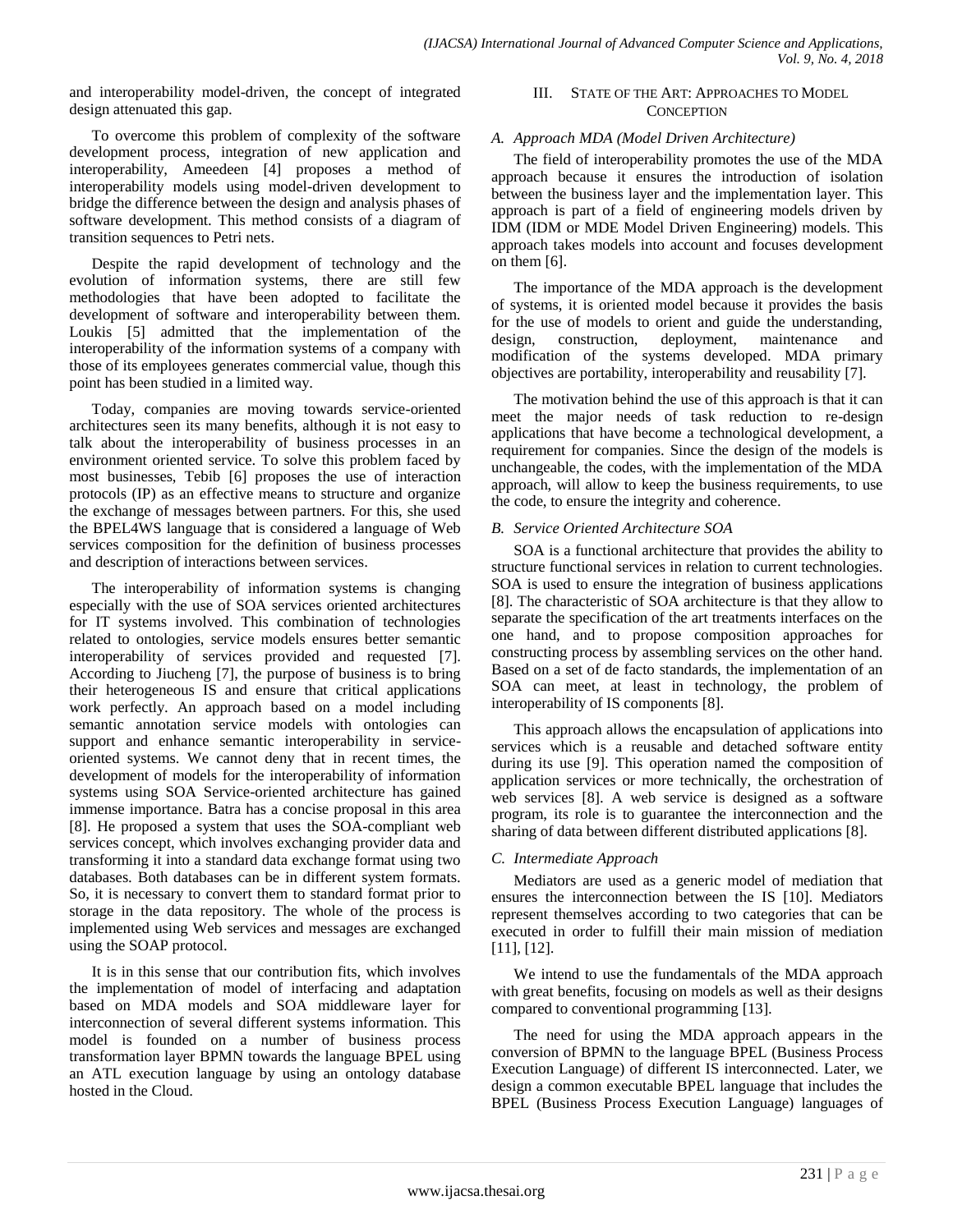and interoperability model-driven, the concept of integrated design attenuated this gap.

To overcome this problem of complexity of the software development process, integration of new application and interoperability, Ameedeen [4] proposes a method of interoperability models using model-driven development to bridge the difference between the design and analysis phases of software development. This method consists of a diagram of transition sequences to Petri nets.

Despite the rapid development of technology and the evolution of information systems, there are still few methodologies that have been adopted to facilitate the development of software and interoperability between them. Loukis [5] admitted that the implementation of the interoperability of the information systems of a company with those of its employees generates commercial value, though this point has been studied in a limited way.

Today, companies are moving towards service-oriented architectures seen its many benefits, although it is not easy to talk about the interoperability of business processes in an environment oriented service. To solve this problem faced by most businesses, Tebib [6] proposes the use of interaction protocols (IP) as an effective means to structure and organize the exchange of messages between partners. For this, she used the BPEL4WS language that is considered a language of Web services composition for the definition of business processes and description of interactions between services.

The interoperability of information systems is changing especially with the use of SOA services oriented architectures for IT systems involved. This combination of technologies related to ontologies, service models ensures better semantic interoperability of services provided and requested [7]. According to Jiucheng [7], the purpose of business is to bring their heterogeneous IS and ensure that critical applications work perfectly. An approach based on a model including semantic annotation service models with ontologies can support and enhance semantic interoperability in serviceoriented systems. We cannot deny that in recent times, the development of models for the interoperability of information systems using SOA Service-oriented architecture has gained immense importance. Batra has a concise proposal in this area [8]. He proposed a system that uses the SOA-compliant web services concept, which involves exchanging provider data and transforming it into a standard data exchange format using two databases. Both databases can be in different system formats. So, it is necessary to convert them to standard format prior to storage in the data repository. The whole of the process is implemented using Web services and messages are exchanged using the SOAP protocol.

It is in this sense that our contribution fits, which involves the implementation of model of interfacing and adaptation based on MDA models and SOA middleware layer for interconnection of several different systems information. This model is founded on a number of business process transformation layer BPMN towards the language BPEL using an ATL execution language by using an ontology database hosted in the Cloud.

# III. STATE OF THE ART: APPROACHES TO MODEL **CONCEPTION**

# *A. Approach MDA (Model Driven Architecture)*

The field of interoperability promotes the use of the MDA approach because it ensures the introduction of isolation between the business layer and the implementation layer. This approach is part of a field of engineering models driven by IDM (IDM or MDE Model Driven Engineering) models. This approach takes models into account and focuses development on them  $[6]$ .

The importance of the MDA approach is the development of systems, it is oriented model because it provides the basis for the use of models to orient and guide the understanding, design, construction, deployment, maintenance and modification of the systems developed. MDA primary objectives are portability, interoperability and reusability [7].

The motivation behind the use of this approach is that it can meet the major needs of task reduction to re-design applications that have become a technological development, a requirement for companies. Since the design of the models is unchangeable, the codes, with the implementation of the MDA approach, will allow to keep the business requirements, to use the code, to ensure the integrity and coherence.

### *B. Service Oriented Architecture SOA*

SOA is a functional architecture that provides the ability to structure functional services in relation to current technologies. SOA is used to ensure the integration of business applications [8]. The characteristic of SOA architecture is that they allow to separate the specification of the art treatments interfaces on the one hand, and to propose composition approaches for constructing process by assembling services on the other hand. Based on a set of de facto standards, the implementation of an SOA can meet, at least in technology, the problem of interoperability of IS components [8].

This approach allows the encapsulation of applications into services which is a reusable and detached software entity during its use [9]. This operation named the composition of application services or more technically, the orchestration of web services [8]. A web service is designed as a software program, its role is to guarantee the interconnection and the sharing of data between different distributed applications [8].

# *C. Intermediate Approach*

Mediators are used as a generic model of mediation that ensures the interconnection between the IS [10]. Mediators represent themselves according to two categories that can be executed in order to fulfill their main mission of mediation [11], [12].

We intend to use the fundamentals of the MDA approach with great benefits, focusing on models as well as their designs compared to conventional programming [13].

The need for using the MDA approach appears in the conversion of BPMN to the language BPEL (Business Process Execution Language) of different IS interconnected. Later, we design a common executable BPEL language that includes the BPEL (Business Process Execution Language) languages of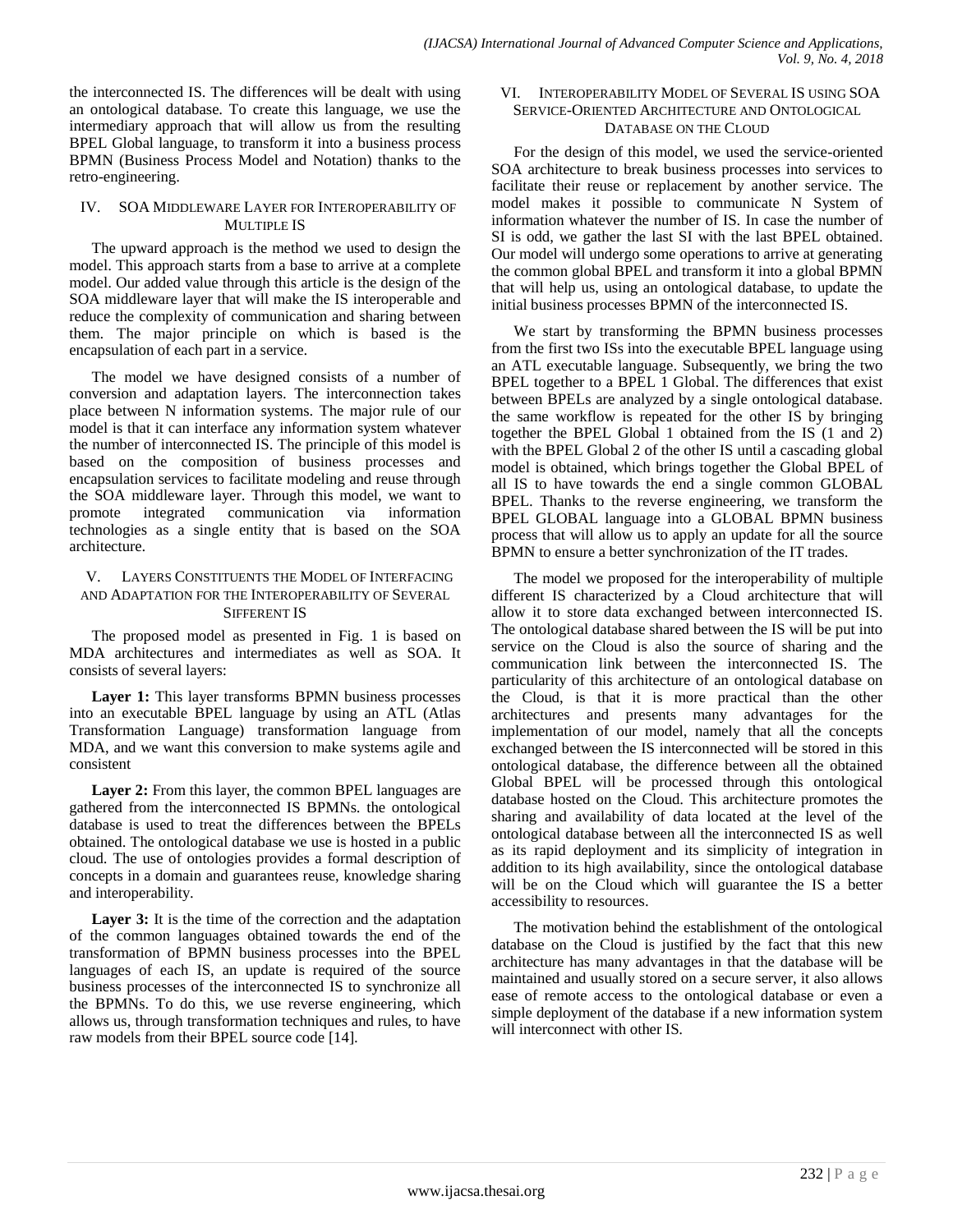the interconnected IS. The differences will be dealt with using an ontological database. To create this language, we use the intermediary approach that will allow us from the resulting BPEL Global language, to transform it into a business process BPMN (Business Process Model and Notation) thanks to the retro-engineering.

#### IV. SOA MIDDLEWARE LAYER FOR INTEROPERABILITY OF MULTIPLE IS

The upward approach is the method we used to design the model. This approach starts from a base to arrive at a complete model. Our added value through this article is the design of the SOA middleware layer that will make the IS interoperable and reduce the complexity of communication and sharing between them. The major principle on which is based is the encapsulation of each part in a service.

The model we have designed consists of a number of conversion and adaptation layers. The interconnection takes place between N information systems. The major rule of our model is that it can interface any information system whatever the number of interconnected IS. The principle of this model is based on the composition of business processes and encapsulation services to facilitate modeling and reuse through the SOA middleware layer. Through this model, we want to promote integrated communication via information technologies as a single entity that is based on the SOA architecture.

### V. LAYERS CONSTITUENTS THE MODEL OF INTERFACING AND ADAPTATION FOR THE INTEROPERABILITY OF SEVERAL SIFFERENT IS

The proposed model as presented in Fig. 1 is based on MDA architectures and intermediates as well as SOA. It consists of several layers:

**Layer 1:** This layer transforms BPMN business processes into an executable BPEL language by using an ATL (Atlas Transformation Language) transformation language from MDA, and we want this conversion to make systems agile and consistent

**Layer 2:** From this layer, the common BPEL languages are gathered from the interconnected IS BPMNs. the ontological database is used to treat the differences between the BPELs obtained. The ontological database we use is hosted in a public cloud. The use of ontologies provides a formal description of concepts in a domain and guarantees reuse, knowledge sharing and interoperability.

Layer 3: It is the time of the correction and the adaptation of the common languages obtained towards the end of the transformation of BPMN business processes into the BPEL languages of each IS, an update is required of the source business processes of the interconnected IS to synchronize all the BPMNs. To do this, we use reverse engineering, which allows us, through transformation techniques and rules, to have raw models from their BPEL source code [14].

#### VI. INTEROPERABILITY MODEL OF SEVERAL IS USING SOA SERVICE-ORIENTED ARCHITECTURE AND ONTOLOGICAL DATABASE ON THE CLOUD

For the design of this model, we used the service-oriented SOA architecture to break business processes into services to facilitate their reuse or replacement by another service. The model makes it possible to communicate N System of information whatever the number of IS. In case the number of SI is odd, we gather the last SI with the last BPEL obtained. Our model will undergo some operations to arrive at generating the common global BPEL and transform it into a global BPMN that will help us, using an ontological database, to update the initial business processes BPMN of the interconnected IS.

We start by transforming the BPMN business processes from the first two ISs into the executable BPEL language using an ATL executable language. Subsequently, we bring the two BPEL together to a BPEL 1 Global. The differences that exist between BPELs are analyzed by a single ontological database. the same workflow is repeated for the other IS by bringing together the BPEL Global 1 obtained from the IS (1 and 2) with the BPEL Global 2 of the other IS until a cascading global model is obtained, which brings together the Global BPEL of all IS to have towards the end a single common GLOBAL BPEL. Thanks to the reverse engineering, we transform the BPEL GLOBAL language into a GLOBAL BPMN business process that will allow us to apply an update for all the source BPMN to ensure a better synchronization of the IT trades.

The model we proposed for the interoperability of multiple different IS characterized by a Cloud architecture that will allow it to store data exchanged between interconnected IS. The ontological database shared between the IS will be put into service on the Cloud is also the source of sharing and the communication link between the interconnected IS. The particularity of this architecture of an ontological database on the Cloud, is that it is more practical than the other architectures and presents many advantages for the implementation of our model, namely that all the concepts exchanged between the IS interconnected will be stored in this ontological database, the difference between all the obtained Global BPEL will be processed through this ontological database hosted on the Cloud. This architecture promotes the sharing and availability of data located at the level of the ontological database between all the interconnected IS as well as its rapid deployment and its simplicity of integration in addition to its high availability, since the ontological database will be on the Cloud which will guarantee the IS a better accessibility to resources.

The motivation behind the establishment of the ontological database on the Cloud is justified by the fact that this new architecture has many advantages in that the database will be maintained and usually stored on a secure server, it also allows ease of remote access to the ontological database or even a simple deployment of the database if a new information system will interconnect with other IS.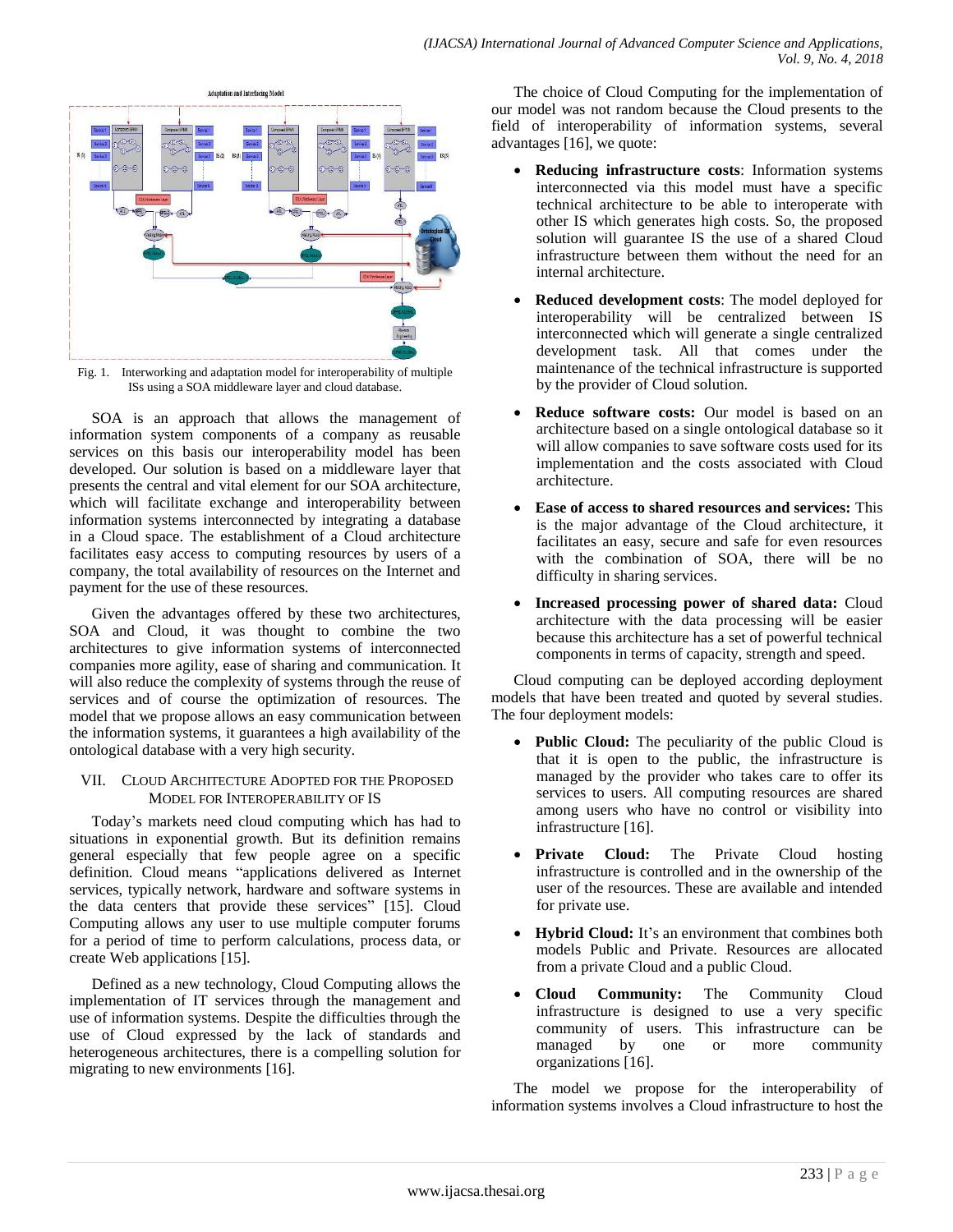

Fig. 1. Interworking and adaptation model for interoperability of multiple ISs using a SOA middleware layer and cloud database.

SOA is an approach that allows the management of information system components of a company as reusable services on this basis our interoperability model has been developed. Our solution is based on a middleware layer that presents the central and vital element for our SOA architecture, which will facilitate exchange and interoperability between information systems interconnected by integrating a database in a Cloud space. The establishment of a Cloud architecture facilitates easy access to computing resources by users of a company, the total availability of resources on the Internet and payment for the use of these resources.

Given the advantages offered by these two architectures, SOA and Cloud, it was thought to combine the two architectures to give information systems of interconnected companies more agility, ease of sharing and communication. It will also reduce the complexity of systems through the reuse of services and of course the optimization of resources. The model that we propose allows an easy communication between the information systems, it guarantees a high availability of the ontological database with a very high security.

### VII. CLOUD ARCHITECTURE ADOPTED FOR THE PROPOSED MODEL FOR INTEROPERABILITY OF IS

Today's markets need cloud computing which has had to situations in exponential growth. But its definition remains general especially that few people agree on a specific definition. Cloud means "applications delivered as Internet services, typically network, hardware and software systems in the data centers that provide these services" [15]. Cloud Computing allows any user to use multiple computer forums for a period of time to perform calculations, process data, or create Web applications [15].

Defined as a new technology, Cloud Computing allows the implementation of IT services through the management and use of information systems. Despite the difficulties through the use of Cloud expressed by the lack of standards and heterogeneous architectures, there is a compelling solution for migrating to new environments [16].

The choice of Cloud Computing for the implementation of our model was not random because the Cloud presents to the field of interoperability of information systems, several advantages [16], we quote:

- **Reducing infrastructure costs**: Information systems interconnected via this model must have a specific technical architecture to be able to interoperate with other IS which generates high costs. So, the proposed solution will guarantee IS the use of a shared Cloud infrastructure between them without the need for an internal architecture.
- **Reduced development costs**: The model deployed for interoperability will be centralized between IS interconnected which will generate a single centralized development task. All that comes under the maintenance of the technical infrastructure is supported by the provider of Cloud solution.
- **Reduce software costs:** Our model is based on an architecture based on a single ontological database so it will allow companies to save software costs used for its implementation and the costs associated with Cloud architecture.
- **Ease of access to shared resources and services:** This is the major advantage of the Cloud architecture, it facilitates an easy, secure and safe for even resources with the combination of SOA, there will be no difficulty in sharing services.
- **Increased processing power of shared data:** Cloud architecture with the data processing will be easier because this architecture has a set of powerful technical components in terms of capacity, strength and speed.

Cloud computing can be deployed according deployment models that have been treated and quoted by several studies. The four deployment models:

- **Public Cloud:** The peculiarity of the public Cloud is that it is open to the public, the infrastructure is managed by the provider who takes care to offer its services to users. All computing resources are shared among users who have no control or visibility into infrastructure [16].
- **Private Cloud:** The Private Cloud hosting infrastructure is controlled and in the ownership of the user of the resources. These are available and intended for private use.
- **Hybrid Cloud:** It's an environment that combines both models Public and Private. Resources are allocated from a private Cloud and a public Cloud.
- **Cloud Community:** The Community Cloud infrastructure is designed to use a very specific community of users. This infrastructure can be managed by one or more community organizations [16].

The model we propose for the interoperability of information systems involves a Cloud infrastructure to host the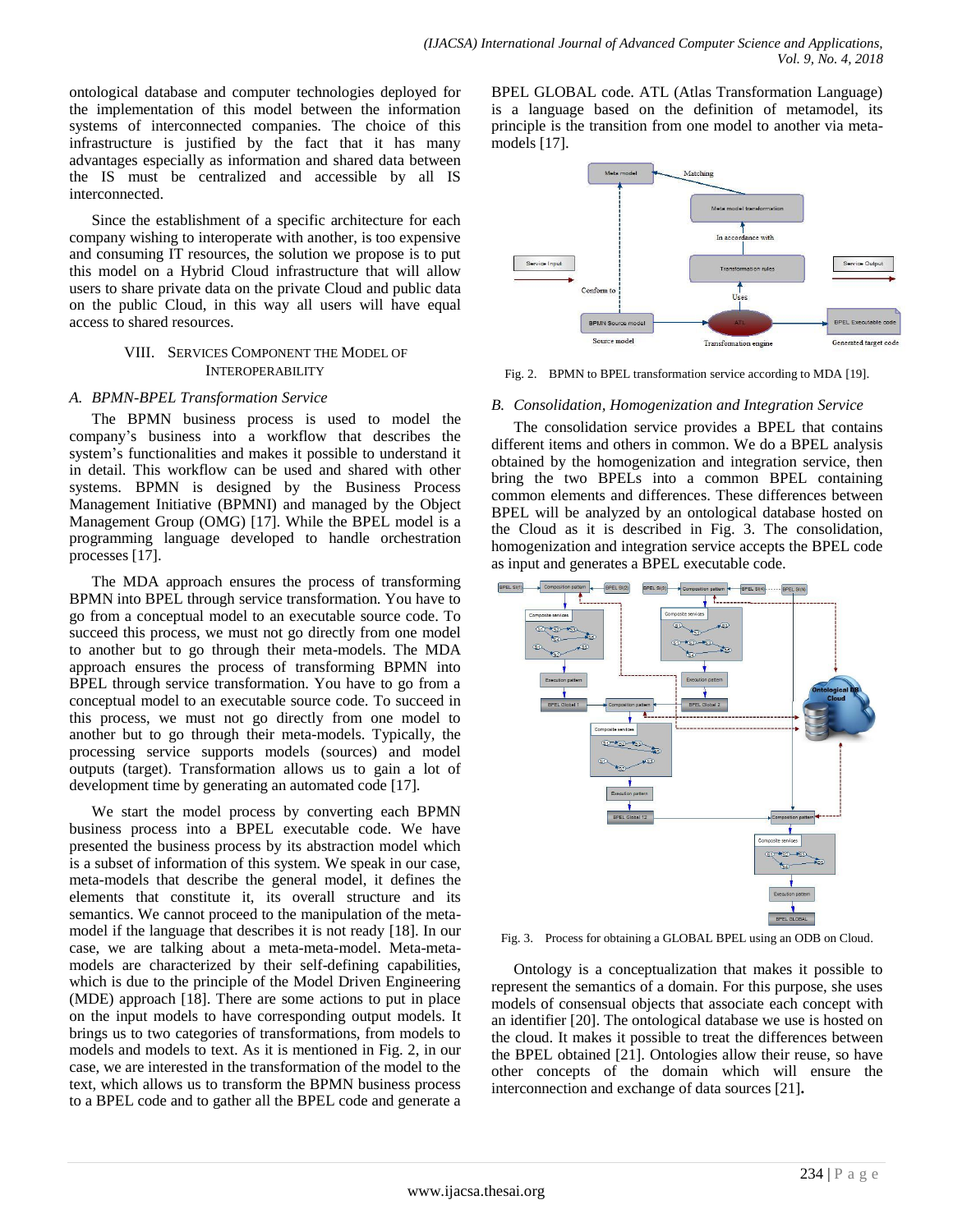ontological database and computer technologies deployed for the implementation of this model between the information systems of interconnected companies. The choice of this infrastructure is justified by the fact that it has many advantages especially as information and shared data between the IS must be centralized and accessible by all IS interconnected.

Since the establishment of a specific architecture for each company wishing to interoperate with another, is too expensive and consuming IT resources, the solution we propose is to put this model on a Hybrid Cloud infrastructure that will allow users to share private data on the private Cloud and public data on the public Cloud, in this way all users will have equal access to shared resources.

#### VIII. SERVICES COMPONENT THE MODEL OF INTEROPERABILITY

#### *A. BPMN-BPEL Transformation Service*

The BPMN business process is used to model the company's business into a workflow that describes the system's functionalities and makes it possible to understand it in detail. This workflow can be used and shared with other systems. BPMN is designed by the Business Process Management Initiative (BPMNI) and managed by the Object Management Group (OMG) [17]. While the BPEL model is a programming language developed to handle orchestration processes [17].

The MDA approach ensures the process of transforming BPMN into BPEL through service transformation. You have to go from a conceptual model to an executable source code. To succeed this process, we must not go directly from one model to another but to go through their meta-models. The MDA approach ensures the process of transforming BPMN into BPEL through service transformation. You have to go from a conceptual model to an executable source code. To succeed in this process, we must not go directly from one model to another but to go through their meta-models. Typically, the processing service supports models (sources) and model outputs (target). Transformation allows us to gain a lot of development time by generating an automated code [17].

We start the model process by converting each BPMN business process into a BPEL executable code. We have presented the business process by its abstraction model which is a subset of information of this system. We speak in our case, meta-models that describe the general model, it defines the elements that constitute it, its overall structure and its semantics. We cannot proceed to the manipulation of the metamodel if the language that describes it is not ready [18]. In our case, we are talking about a meta-meta-model. Meta-metamodels are characterized by their self-defining capabilities, which is due to the principle of the Model Driven Engineering (MDE) approach [18]. There are some actions to put in place on the input models to have corresponding output models. It brings us to two categories of transformations, from models to models and models to text. As it is mentioned in Fig. 2, in our case, we are interested in the transformation of the model to the text, which allows us to transform the BPMN business process to a BPEL code and to gather all the BPEL code and generate a BPEL GLOBAL code. ATL (Atlas Transformation Language) is a language based on the definition of metamodel, its principle is the transition from one model to another via metamodels [17].



Fig. 2. BPMN to BPEL transformation service according to MDA [19].

# *B. Consolidation, Homogenization and Integration Service*

The consolidation service provides a BPEL that contains different items and others in common. We do a BPEL analysis obtained by the homogenization and integration service, then bring the two BPELs into a common BPEL containing common elements and differences. These differences between BPEL will be analyzed by an ontological database hosted on the Cloud as it is described in Fig. 3. The consolidation, homogenization and integration service accepts the BPEL code as input and generates a BPEL executable code.



Fig. 3. Process for obtaining a GLOBAL BPEL using an ODB on Cloud.

Ontology is a conceptualization that makes it possible to represent the semantics of a domain. For this purpose, she uses models of consensual objects that associate each concept with an identifier [20]. The ontological database we use is hosted on the cloud. It makes it possible to treat the differences between the BPEL obtained [21]. Ontologies allow their reuse, so have other concepts of the domain which will ensure the interconnection and exchange of data sources [21]**.**